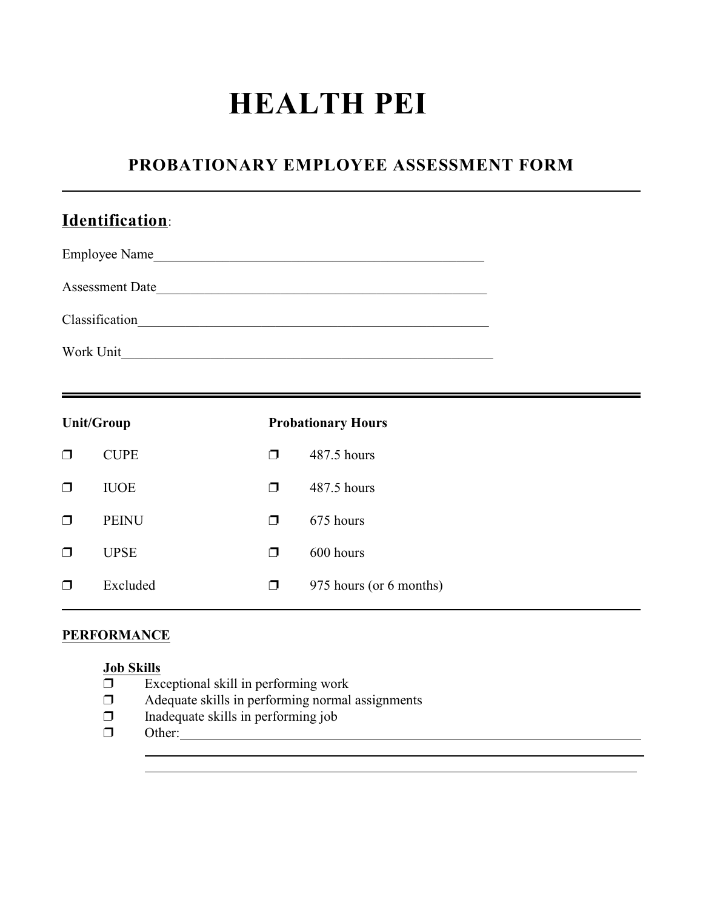# **HEALTH PEI**

## **PROBATIONARY EMPLOYEE ASSESSMENT FORM**

|        | Identification:   |        |                           |  |
|--------|-------------------|--------|---------------------------|--|
|        |                   |        | Employee Name             |  |
|        |                   |        | Assessment Date           |  |
|        |                   |        |                           |  |
|        |                   |        |                           |  |
|        | <b>Unit/Group</b> |        | <b>Probationary Hours</b> |  |
| $\Box$ | <b>CUPE</b>       | $\Box$ | 487.5 hours               |  |
| $\Box$ | <b>IUOE</b>       | ⊓      | 487.5 hours               |  |

### **PERFORMANCE**

#### **Job Skills**

 $\overline{\Box}$  Exceptional skill in performing work

 $\Box$  PEINU  $\Box$  675 hours

 $\Box$  UPSE  $\Box$  600 hours

Adequate skills in performing normal assignments

 $\Box$  Excluded  $\Box$  975 hours (or 6 months)

- $\Box$  Inadequate skills in performing job
- Other:  $\overline{a}$

 $\overline{a}$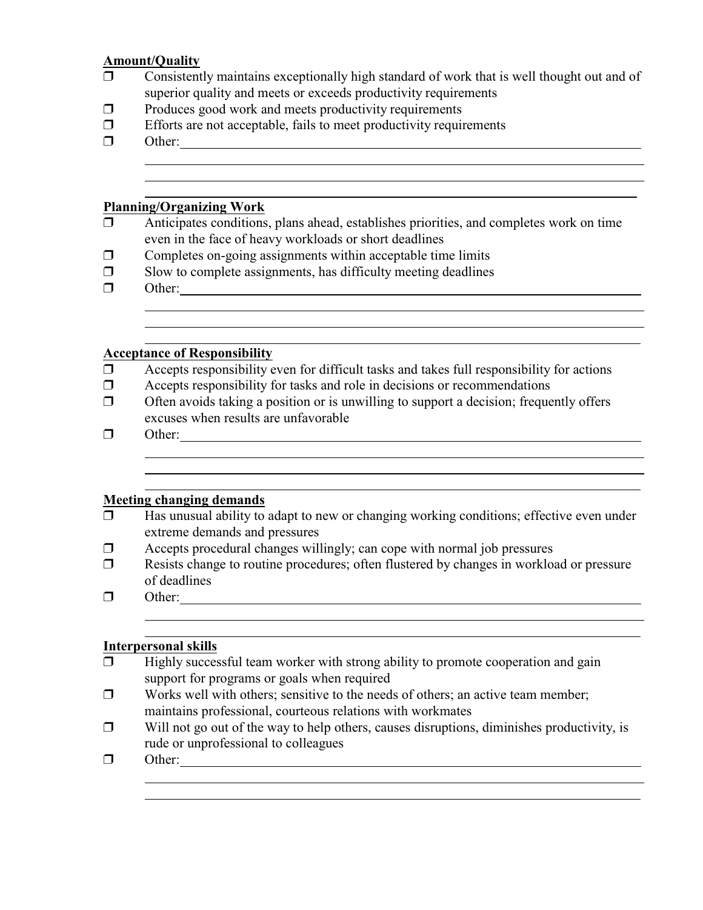#### **Amount/Quality**

- $\Box$  Consistently maintains exceptionally high standard of work that is well thought out and of superior quality and meets or exceeds productivity requirements
- $\Box$  Produces good work and meets productivity requirements
- $\Box$  Efforts are not acceptable, fails to meet productivity requirements
- Other: Other:

 $\overline{a}$ 

l

#### **Planning/Organizing Work**

- $\Box$  Anticipates conditions, plans ahead, establishes priorities, and completes work on time even in the face of heavy workloads or short deadlines
- $\Box$  Completes on-going assignments within acceptable time limits
- $\square$  Slow to complete assignments, has difficulty meeting deadlines
- $\Box$  Other:

 $\overline{a}$ 

l

#### **Acceptance of Responsibility**

- $\Box$  Accepts responsibility even for difficult tasks and takes full responsibility for actions
- $\Box$  Accepts responsibility for tasks and role in decisions or recommendations
- $\Box$  Often avoids taking a position or is unwilling to support a decision; frequently offers excuses when results are unfavorable
- Other: l

 $\overline{a}$ 

#### **Meeting changing demands**

- $\Box$  Has unusual ability to adapt to new or changing working conditions; effective even under extreme demands and pressures
- $\Box$  Accepts procedural changes willingly; can cope with normal job pressures
- Resists change to routine procedures; often flustered by changes in workload or pressure of deadlines
- **D** Other: <u>Contact Other:</u> Contact Other: **Other:** Contact Other: **Other:** Contact Other: **Other:** Contact Other: **Other:** Contact Other: **Other:** Contact Other: **Other:** Contact Other: **Other:** Contact Other: **Other:** Co  $\overline{a}$

 $\overline{a}$ 

#### **Interpersonal skills**

- $\Box$  Highly successful team worker with strong ability to promote cooperation and gain support for programs or goals when required
- $\Box$  Works well with others; sensitive to the needs of others; an active team member; maintains professional, courteous relations with workmates
- $\Box$  Will not go out of the way to help others, causes disruptions, diminishes productivity, is rude or unprofessional to colleagues
- Other:  $\overline{a}$

l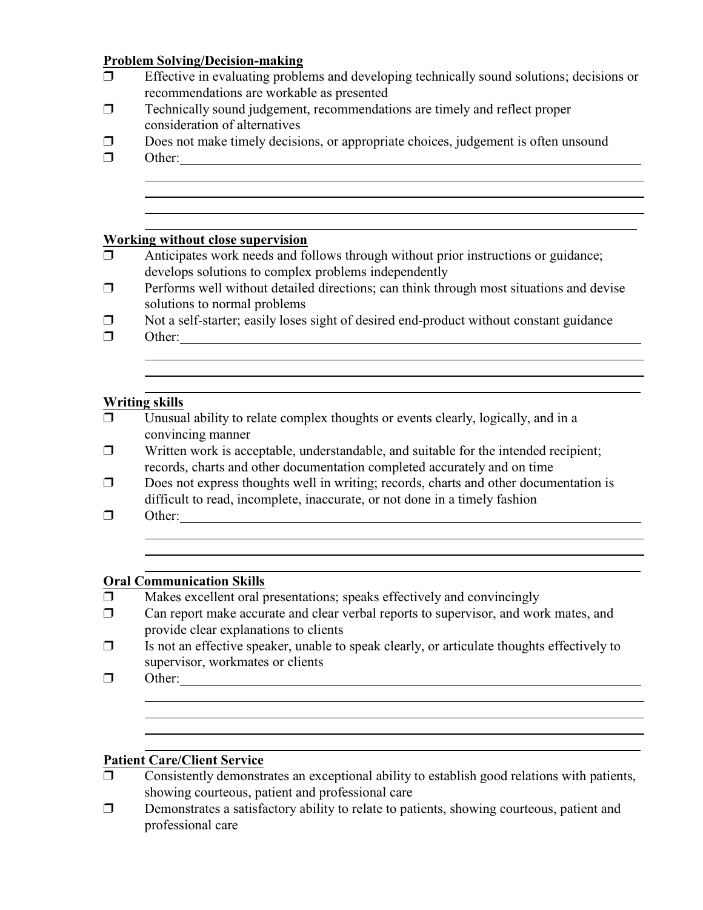#### **Problem Solving/Decision-making**

- $\Box$  Effective in evaluating problems and developing technically sound solutions; decisions or recommendations are workable as presented
- $\Box$  Technically sound judgement, recommendations are timely and reflect proper consideration of alternatives
- $\Box$  Does not make timely decisions, or appropriate choices, judgement is often unsound
- Other:

 $\overline{a}$ 

 $\overline{a}$ 

#### **Working without close supervision**

- $\Box$  Anticipates work needs and follows through without prior instructions or guidance; develops solutions to complex problems independently
- $\Box$  Performs well without detailed directions; can think through most situations and devise solutions to normal problems
- $\Box$  Not a self-starter; easily loses sight of desired end-product without constant guidance
- $\Box$  Other:  $\overline{a}$

## l **Writing skills**<br> **T** Unusual

- Unusual ability to relate complex thoughts or events clearly, logically, and in a convincing manner
- $\Box$  Written work is acceptable, understandable, and suitable for the intended recipient; records, charts and other documentation completed accurately and on time
- $\Box$  Does not express thoughts well in writing; records, charts and other documentation is difficult to read, incomplete, inaccurate, or not done in a timely fashion
- $\Box$  Other:  $\_\_\_\_\_\_\_\_\_\_\_\_\_\_\_\_\_\_$

l

 $\overline{a}$ 

#### **Oral Communication Skills**

- $\Box$  Makes excellent oral presentations; speaks effectively and convincingly
- $\Box$  Can report make accurate and clear verbal reports to supervisor, and work mates, and provide clear explanations to clients
- $\Box$  Is not an effective speaker, unable to speak clearly, or articulate thoughts effectively to supervisor, workmates or clients
- $\Box$  Other:  $\overline{a}$

l

#### **Patient Care/Client Service**

- $\Box$  Consistently demonstrates an exceptional ability to establish good relations with patients, showing courteous, patient and professional care
- Demonstrates a satisfactory ability to relate to patients, showing courteous, patient and professional care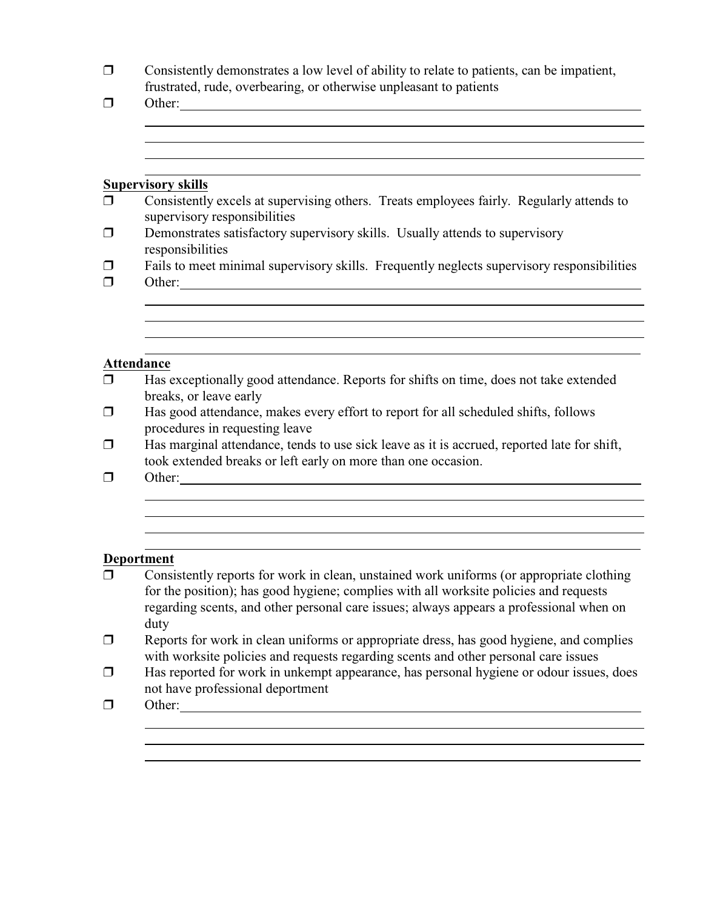| Consistently demonstrates a low level of ability to relate to patients, can be impatient, |
|-------------------------------------------------------------------------------------------|
| frustrated, rude, overbearing, or otherwise unpleasant to patients                        |

| $\Box$           |                                                                                                                                                                                                                                                                                      |  |  |  |  |
|------------------|--------------------------------------------------------------------------------------------------------------------------------------------------------------------------------------------------------------------------------------------------------------------------------------|--|--|--|--|
|                  |                                                                                                                                                                                                                                                                                      |  |  |  |  |
|                  |                                                                                                                                                                                                                                                                                      |  |  |  |  |
|                  | <b>Supervisory skills</b>                                                                                                                                                                                                                                                            |  |  |  |  |
| $\Box$           | Consistently excels at supervising others. Treats employees fairly. Regularly attends to<br>supervisory responsibilities                                                                                                                                                             |  |  |  |  |
| $\Box$           | Demonstrates satisfactory supervisory skills. Usually attends to supervisory<br>responsibilities                                                                                                                                                                                     |  |  |  |  |
| $\Box$<br>$\Box$ | Fails to meet minimal supervisory skills. Frequently neglects supervisory responsibilities                                                                                                                                                                                           |  |  |  |  |
|                  |                                                                                                                                                                                                                                                                                      |  |  |  |  |
|                  |                                                                                                                                                                                                                                                                                      |  |  |  |  |
|                  |                                                                                                                                                                                                                                                                                      |  |  |  |  |
|                  | Attendance                                                                                                                                                                                                                                                                           |  |  |  |  |
| $\Box$           | Has exceptionally good attendance. Reports for shifts on time, does not take extended<br>breaks, or leave early                                                                                                                                                                      |  |  |  |  |
| $\Box$           | Has good attendance, makes every effort to report for all scheduled shifts, follows<br>procedures in requesting leave                                                                                                                                                                |  |  |  |  |
| $\Box$           | Has marginal attendance, tends to use sick leave as it is accrued, reported late for shift,<br>took extended breaks or left early on more than one occasion.                                                                                                                         |  |  |  |  |
| $\Box$           |                                                                                                                                                                                                                                                                                      |  |  |  |  |
|                  |                                                                                                                                                                                                                                                                                      |  |  |  |  |
|                  |                                                                                                                                                                                                                                                                                      |  |  |  |  |
|                  |                                                                                                                                                                                                                                                                                      |  |  |  |  |
|                  | Deportment                                                                                                                                                                                                                                                                           |  |  |  |  |
| $\Box$           | Consistently reports for work in clean, unstained work uniforms (or appropriate clothing<br>for the position); has good hygiene; complies with all worksite policies and requests<br>regarding scents, and other personal care issues; always appears a professional when on<br>duty |  |  |  |  |
| $\Box$           | Reports for work in clean uniforms or appropriate dress, has good hygiene, and complies<br>with worksite policies and requests regarding scents and other personal care issues                                                                                                       |  |  |  |  |

 Has reported for work in unkempt appearance, has personal hygiene or odour issues, does not have professional deportment

> <u> 1989 - Johann Stoff, amerikansk politiker (d. 1989)</u> <u> 1989 - Johann Stoff, amerikansk politiker (d. 1989)</u> <u> 1989 - Johann Stoff, amerikansk politiker (d. 1989)</u>

 $\Box$  Other:

 $\overline{a}$ 

l